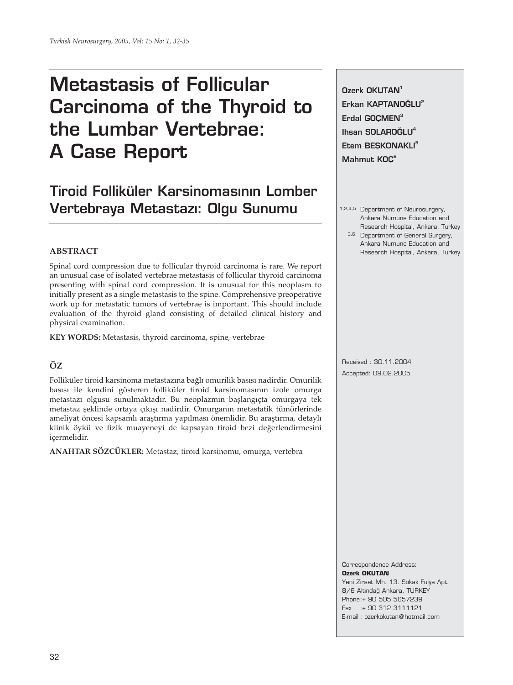# **Metastasis of Follicular Carcinoma of the Thyroid to the Lumbar Vertebrae: A Case Report**

# **Tiroid Folliküler Karsinomasının Lomber Vertebraya Metastaz›: Olgu Sunumu**

# **ABSTRACT**

Spinal cord compression due to follicular thyroid carcinoma is rare. We report an unusual case of isolated vertebrae metastasis of follicular thyroid carcinoma presenting with spinal cord compression. It is unusual for this neoplasm to initially present as a single metastasis to the spine. Comprehensive preoperative work up for metastatic tumors of vertebrae is important. This should include evaluation of the thyroid gland consisting of detailed clinical history and physical examination.

**KEY WORDS:** Metastasis, thyroid carcinoma, spine, vertebrae

# **ÖZ**

Folliküler tiroid karsinoma metastazına bağlı omurilik basısı nadirdir. Omurilik basısı ile kendini gösteren folliküler tiroid karsinomasının izole omurga metastazı olgusu sunulmaktadır. Bu neoplazmın başlangıçta omurgaya tek metastaz şeklinde ortaya çıkışı nadirdir. Omurganın metastatik tümörlerinde ameliyat öncesi kapsamlı araştırma yapılması önemlidir. Bu araştırma, detaylı klinik öykü ve fizik muayeneyi de kapsayan tiroid bezi değerlendirmesini içermelidir.

**ANAHTAR SÖZCÜKLER:** Metastaz, tiroid karsinomu, omurga, vertebra

**Ozerk OKUTAN<sup>1</sup>** Erkan KAPTANOĞLU<sup>2</sup> Erdal GOCMEN<sup>3</sup> **Ihsan SOLARO⁄LU4 Etem BESKONAKLI<sup>5</sup> Mahmut KOÇ6**

- 1,2,4,5 Department of Neurosurgery, Ankara Numune Education and Research Hospital, Ankara, Turkey
	- 3,6 Department of General Surgery, Ankara Numune Education and Research Hospital, Ankara, Turkey

Received : 30.11.2004 Accepted: 09.02.2005

#### Correspondence Address: **Ozerk OKUTAN**

Yeni Ziraat Mh. 13. Sokak Fulya Apt. 8/6 Altındağ Ankara, TURKEY Phone:+ 90 505 5657239 Fax :+ 90 312 3111121 E-mail : ozerkokutan@hotmail.com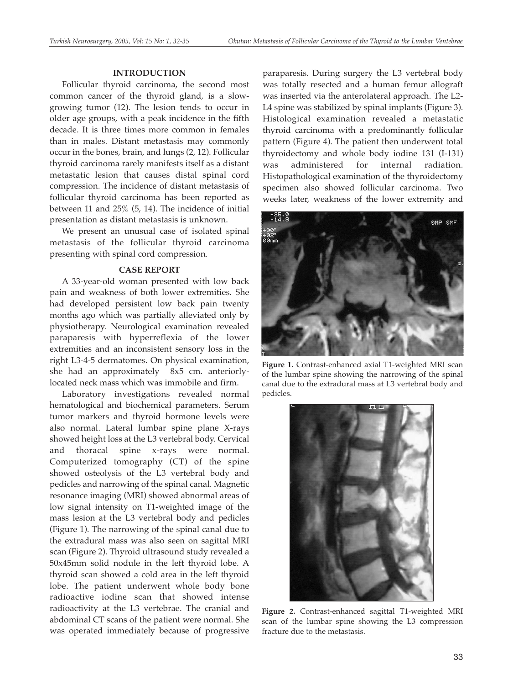# **INTRODUCTION**

Follicular thyroid carcinoma, the second most common cancer of the thyroid gland, is a slowgrowing tumor (12). The lesion tends to occur in older age groups, with a peak incidence in the fifth decade. It is three times more common in females than in males. Distant metastasis may commonly occur in the bones, brain, and lungs (2, 12). Follicular thyroid carcinoma rarely manifests itself as a distant metastatic lesion that causes distal spinal cord compression. The incidence of distant metastasis of follicular thyroid carcinoma has been reported as between 11 and 25% (5, 14). The incidence of initial presentation as distant metastasis is unknown.

We present an unusual case of isolated spinal metastasis of the follicular thyroid carcinoma presenting with spinal cord compression.

# **CASE REPORT**

A 33-year-old woman presented with low back pain and weakness of both lower extremities. She had developed persistent low back pain twenty months ago which was partially alleviated only by physiotherapy. Neurological examination revealed paraparesis with hyperreflexia of the lower extremities and an inconsistent sensory loss in the right L3-4-5 dermatomes. On physical examination, she had an approximately 8x5 cm. anteriorlylocated neck mass which was immobile and firm.

Laboratory investigations revealed normal hematological and biochemical parameters. Serum tumor markers and thyroid hormone levels were also normal. Lateral lumbar spine plane X-rays showed height loss at the L3 vertebral body. Cervical and thoracal spine x-rays were normal. Computerized tomography (CT) of the spine showed osteolysis of the L3 vertebral body and pedicles and narrowing of the spinal canal. Magnetic resonance imaging (MRI) showed abnormal areas of low signal intensity on T1-weighted image of the mass lesion at the L3 vertebral body and pedicles (Figure 1). The narrowing of the spinal canal due to the extradural mass was also seen on sagittal MRI scan (Figure 2). Thyroid ultrasound study revealed a 50x45mm solid nodule in the left thyroid lobe. A thyroid scan showed a cold area in the left thyroid lobe. The patient underwent whole body bone radioactive iodine scan that showed intense radioactivity at the L3 vertebrae. The cranial and abdominal CT scans of the patient were normal. She was operated immediately because of progressive

paraparesis. During surgery the L3 vertebral body was totally resected and a human femur allograft was inserted via the anterolateral approach. The L2- L4 spine was stabilized by spinal implants (Figure 3). Histological examination revealed a metastatic thyroid carcinoma with a predominantly follicular pattern (Figure 4). The patient then underwent total thyroidectomy and whole body iodine 131 (I-131) was administered for internal radiation. Histopathological examination of the thyroidectomy specimen also showed follicular carcinoma. Two weeks later, weakness of the lower extremity and



**Figure 1.** Contrast-enhanced axial T1-weighted MRI scan of the lumbar spine showing the narrowing of the spinal canal due to the extradural mass at L3 vertebral body and pedicles.



**Figure 2.** Contrast-enhanced sagittal T1-weighted MRI scan of the lumbar spine showing the L3 compression fracture due to the metastasis.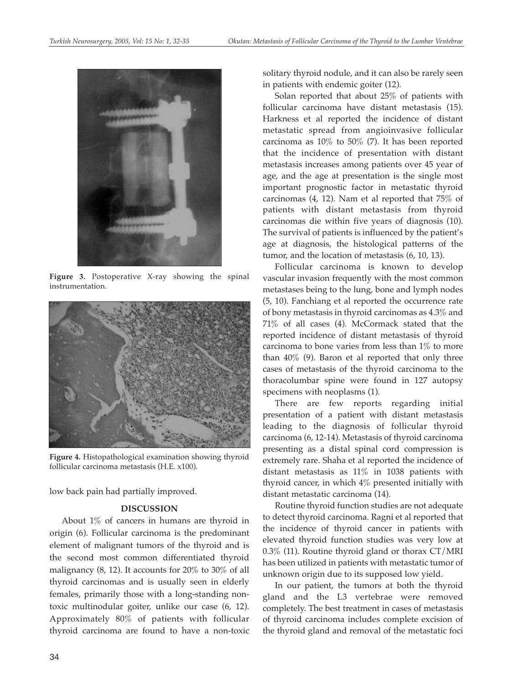

**Figure 3.** Postoperative X-ray showing the spinal instrumentation.



**Figure 4.** Histopathological examination showing thyroid follicular carcinoma metastasis (H.E. x100).

low back pain had partially improved.

# **DISCUSSION**

About 1% of cancers in humans are thyroid in origin (6). Follicular carcinoma is the predominant element of malignant tumors of the thyroid and is the second most common differentiated thyroid malignancy (8, 12). It accounts for 20% to 30% of all thyroid carcinomas and is usually seen in elderly females, primarily those with a long-standing nontoxic multinodular goiter, unlike our case (6, 12). Approximately 80% of patients with follicular thyroid carcinoma are found to have a non-toxic solitary thyroid nodule, and it can also be rarely seen in patients with endemic goiter (12).

Solan reported that about 25% of patients with follicular carcinoma have distant metastasis (15). Harkness et al reported the incidence of distant metastatic spread from angioinvasive follicular carcinoma as  $10\%$  to  $50\%$  (7). It has been reported that the incidence of presentation with distant metastasis increases among patients over 45 year of age, and the age at presentation is the single most important prognostic factor in metastatic thyroid carcinomas (4, 12). Nam et al reported that 75% of patients with distant metastasis from thyroid carcinomas die within five years of diagnosis (10). The survival of patients is influenced by the patient's age at diagnosis, the histological patterns of the tumor, and the location of metastasis (6, 10, 13).

Follicular carcinoma is known to develop vascular invasion frequently with the most common metastases being to the lung, bone and lymph nodes (5, 10). Fanchiang et al reported the occurrence rate of bony metastasis in thyroid carcinomas as 4.3% and 71% of all cases (4). McCormack stated that the reported incidence of distant metastasis of thyroid carcinoma to bone varies from less than 1% to more than 40% (9). Baron et al reported that only three cases of metastasis of the thyroid carcinoma to the thoracolumbar spine were found in 127 autopsy specimens with neoplasms (1).

There are few reports regarding initial presentation of a patient with distant metastasis leading to the diagnosis of follicular thyroid carcinoma (6, 12-14). Metastasis of thyroid carcinoma presenting as a distal spinal cord compression is extremely rare. Shaha et al reported the incidence of distant metastasis as 11% in 1038 patients with thyroid cancer, in which 4% presented initially with distant metastatic carcinoma (14).

Routine thyroid function studies are not adequate to detect thyroid carcinoma. Ragni et al reported that the incidence of thyroid cancer in patients with elevated thyroid function studies was very low at 0.3% (11). Routine thyroid gland or thorax CT/MRI has been utilized in patients with metastatic tumor of unknown origin due to its supposed low yield.

In our patient, the tumors at both the thyroid gland and the L3 vertebrae were removed completely. The best treatment in cases of metastasis of thyroid carcinoma includes complete excision of the thyroid gland and removal of the metastatic foci